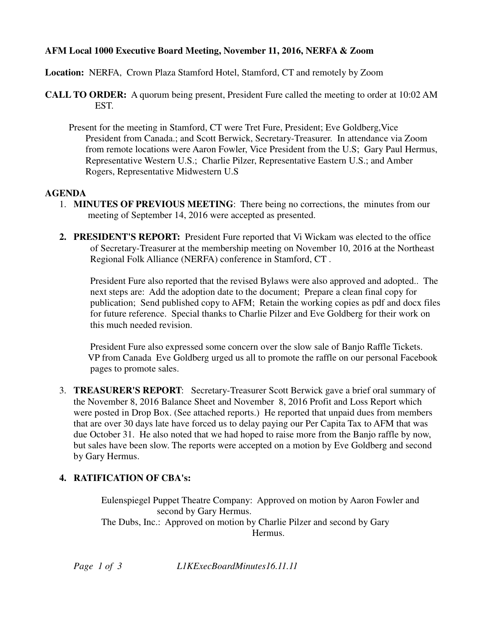## **AFM Local 1000 Executive Board Meeting, November 11, 2016, NERFA & Zoom**

**Location:** NERFA, Crown Plaza Stamford Hotel, Stamford, CT and remotely by Zoom

- **CALL TO ORDER:** A quorum being present, President Fure called the meeting to order at 10:02 AM EST.
	- Present for the meeting in Stamford, CT were Tret Fure, President; Eve Goldberg,Vice President from Canada.; and Scott Berwick, Secretary-Treasurer. In attendance via Zoom from remote locations were Aaron Fowler, Vice President from the U.S; Gary Paul Hermus, Representative Western U.S.; Charlie Pilzer, Representative Eastern U.S.; and Amber Rogers, Representative Midwestern U.S

## **AGENDA**

- 1. **MINUTES OF PREVIOUS MEETING**: There being no corrections, the minutes from our meeting of September 14, 2016 were accepted as presented.
- **2. PRESIDENT'S REPORT:** President Fure reported that Vi Wickam was elected to the office of Secretary-Treasurer at the membership meeting on November 10, 2016 at the Northeast Regional Folk Alliance (NERFA) conference in Stamford, CT .

 President Fure also reported that the revised Bylaws were also approved and adopted.. The next steps are: Add the adoption date to the document; Prepare a clean final copy for publication; Send published copy to AFM; Retain the working copies as pdf and docx files for future reference. Special thanks to Charlie Pilzer and Eve Goldberg for their work on this much needed revision.

 President Fure also expressed some concern over the slow sale of Banjo Raffle Tickets. VP from Canada Eve Goldberg urged us all to promote the raffle on our personal Facebook pages to promote sales.

3. **TREASURER'S REPORT**: Secretary-Treasurer Scott Berwick gave a brief oral summary of the November 8, 2016 Balance Sheet and November 8, 2016 Profit and Loss Report which were posted in Drop Box. (See attached reports.) He reported that unpaid dues from members that are over 30 days late have forced us to delay paying our Per Capita Tax to AFM that was due October 31. He also noted that we had hoped to raise more from the Banjo raffle by now, but sales have been slow. The reports were accepted on a motion by Eve Goldberg and second by Gary Hermus.

## **4. RATIFICATION OF CBA's:**

Eulenspiegel Puppet Theatre Company: Approved on motion by Aaron Fowler and second by Gary Hermus. The Dubs, Inc.: Approved on motion by Charlie Pilzer and second by Gary **Example 21 Internal Hermus.** 

*Page 1 of 3 L1KExecBoardMinutes16.11.11*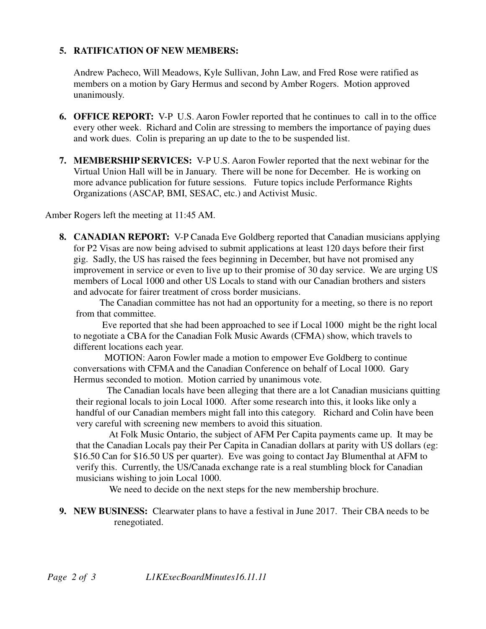### **5. RATIFICATION OF NEW MEMBERS:**

Andrew Pacheco, Will Meadows, Kyle Sullivan, John Law, and Fred Rose were ratified as members on a motion by Gary Hermus and second by Amber Rogers. Motion approved unanimously.

- **6. OFFICE REPORT:** V-P U.S. Aaron Fowler reported that he continues to call in to the office every other week. Richard and Colin are stressing to members the importance of paying dues and work dues. Colin is preparing an up date to the to be suspended list.
- **7. MEMBERSHIP SERVICES:** V-P U.S. Aaron Fowler reported that the next webinar for the Virtual Union Hall will be in January. There will be none for December. He is working on more advance publication for future sessions. Future topics include Performance Rights Organizations (ASCAP, BMI, SESAC, etc.) and Activist Music.

Amber Rogers left the meeting at 11:45 AM.

**8. CANADIAN REPORT:** V-P Canada Eve Goldberg reported that Canadian musicians applying for P2 Visas are now being advised to submit applications at least 120 days before their first gig. Sadly, the US has raised the fees beginning in December, but have not promised any improvement in service or even to live up to their promise of 30 day service. We are urging US members of Local 1000 and other US Locals to stand with our Canadian brothers and sisters and advocate for fairer treatment of cross border musicians.

 The Canadian committee has not had an opportunity for a meeting, so there is no report from that committee.

 Eve reported that she had been approached to see if Local 1000 might be the right local to negotiate a CBA for the Canadian Folk Music Awards (CFMA) show, which travels to different locations each year.

 MOTION: Aaron Fowler made a motion to empower Eve Goldberg to continue conversations with CFMA and the Canadian Conference on behalf of Local 1000. Gary Hermus seconded to motion. Motion carried by unanimous vote.

 The Canadian locals have been alleging that there are a lot Canadian musicians quitting their regional locals to join Local 1000. After some research into this, it looks like only a handful of our Canadian members might fall into this category. Richard and Colin have been very careful with screening new members to avoid this situation.

 At Folk Music Ontario, the subject of AFM Per Capita payments came up. It may be that the Canadian Locals pay their Per Capita in Canadian dollars at parity with US dollars (eg: \$16.50 Can for \$16.50 US per quarter). Eve was going to contact Jay Blumenthal at AFM to verify this. Currently, the US/Canada exchange rate is a real stumbling block for Canadian musicians wishing to join Local 1000.

We need to decide on the next steps for the new membership brochure.

**9. NEW BUSINESS:** Clearwater plans to have a festival in June 2017. Their CBA needs to be renegotiated.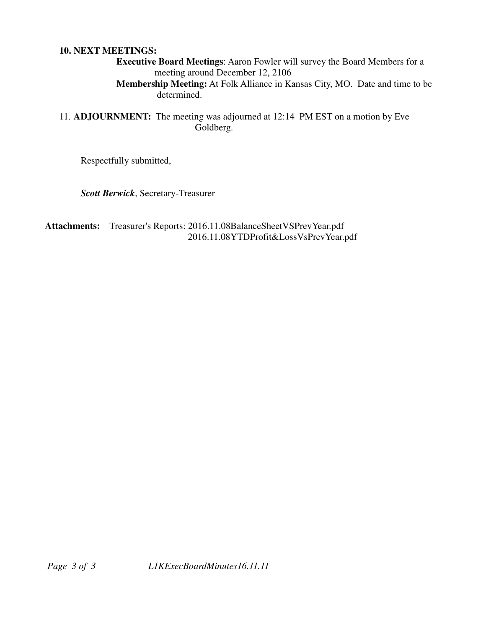#### **10. NEXT MEETINGS:**

 **Executive Board Meetings**: Aaron Fowler will survey the Board Members for a meeting around December 12, 2106

 **Membership Meeting:** At Folk Alliance in Kansas City, MO. Date and time to be determined.

11. **ADJOURNMENT:** The meeting was adjourned at 12:14 PM EST on a motion by Eve Goldberg.

Respectfully submitted,

*Scott Berwick*, Secretary-Treasurer

**Attachments:** Treasurer's Reports: 2016.11.08BalanceSheetVSPrevYear.pdf 2016.11.08YTDProfit&LossVsPrevYear.pdf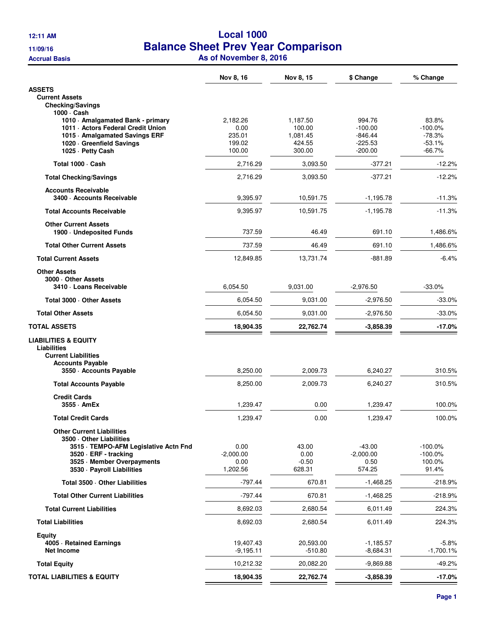# **12:11 AM Local 1000 11/09/16 Balance Sheet Prev Year Comparison Accrual Basis As of November 8, 2016**

|                                                                                                                                                                                        | Nov 8, 16                               | Nov 8, 15                                | \$ Change                                     | % Change                                    |
|----------------------------------------------------------------------------------------------------------------------------------------------------------------------------------------|-----------------------------------------|------------------------------------------|-----------------------------------------------|---------------------------------------------|
| ASSETS                                                                                                                                                                                 |                                         |                                          |                                               |                                             |
| <b>Current Assets</b><br><b>Checking/Savings</b>                                                                                                                                       |                                         |                                          |                                               |                                             |
| 1000 · Cash<br>1010 Amalgamated Bank - primary<br>1011 - Actors Federal Credit Union<br>1015 Amalgamated Savings ERF<br>1020 Greenfield Savings                                        | 2,182.26<br>0.00<br>235.01<br>199.02    | 1,187.50<br>100.00<br>1,081.45<br>424.55 | 994.76<br>$-100.00$<br>$-846.44$<br>$-225.53$ | 83.8%<br>$-100.0\%$<br>$-78.3%$<br>$-53.1%$ |
| 1025 - Petty Cash                                                                                                                                                                      | 100.00                                  | 300.00                                   | $-200.00$                                     | $-66.7%$                                    |
| Total 1000 · Cash                                                                                                                                                                      | 2,716.29                                | 3,093.50                                 | $-377.21$                                     | $-12.2%$                                    |
| <b>Total Checking/Savings</b>                                                                                                                                                          | 2,716.29                                | 3,093.50                                 | $-377.21$                                     | $-12.2%$                                    |
| <b>Accounts Receivable</b><br>3400 Accounts Receivable                                                                                                                                 | 9,395.97                                | 10,591.75                                | $-1,195.78$                                   | $-11.3%$                                    |
| <b>Total Accounts Receivable</b>                                                                                                                                                       | 9,395.97                                | 10,591.75                                | $-1,195.78$                                   | $-11.3%$                                    |
| <b>Other Current Assets</b><br>1900 Undeposited Funds                                                                                                                                  | 737.59                                  | 46.49                                    | 691.10                                        | 1,486.6%                                    |
| <b>Total Other Current Assets</b>                                                                                                                                                      | 737.59                                  | 46.49                                    | 691.10                                        | 1,486.6%                                    |
| <b>Total Current Assets</b>                                                                                                                                                            | 12,849.85                               | 13,731.74                                | $-881.89$                                     | $-6.4%$                                     |
| <b>Other Assets</b><br>3000 Other Assets<br>3410 - Loans Receivable                                                                                                                    | 6,054.50                                | 9,031.00                                 | $-2,976.50$                                   | $-33.0%$                                    |
| Total 3000 - Other Assets                                                                                                                                                              | 6,054.50                                | 9,031.00                                 | $-2,976.50$                                   | $-33.0%$                                    |
| <b>Total Other Assets</b>                                                                                                                                                              | 6,054.50                                | 9,031.00                                 | $-2,976.50$                                   | $-33.0%$                                    |
|                                                                                                                                                                                        |                                         |                                          |                                               |                                             |
| TOTAL ASSETS                                                                                                                                                                           | 18,904.35                               | 22,762.74                                | $-3,858.39$                                   | $-17.0%$                                    |
| LIABILITIES & EQUITY<br>Liabilities<br><b>Current Liabilities</b><br><b>Accounts Payable</b><br>3550 - Accounts Payable                                                                | 8,250.00                                | 2,009.73                                 | 6,240.27                                      | 310.5%                                      |
| <b>Total Accounts Payable</b>                                                                                                                                                          | 8,250.00                                | 2,009.73                                 |                                               | 310.5%                                      |
|                                                                                                                                                                                        |                                         |                                          | 6,240.27                                      |                                             |
| <b>Credit Cards</b><br>3555 AmEx                                                                                                                                                       | 1,239.47                                | 0.00                                     | 1,239.47                                      | 100.0%                                      |
| <b>Total Credit Cards</b>                                                                                                                                                              | 1,239.47                                | 0.00                                     | 1,239.47                                      | 100.0%                                      |
| <b>Other Current Liabilities</b><br>3500 Other Liabilities<br>3515 · TEMPO-AFM Legislative Actn Fnd<br>3520 · ERF - tracking<br>3525 Member Overpayments<br>3530 - Payroll Liabilities | 0.00<br>$-2,000.00$<br>0.00<br>1,202.56 | 43.00<br>0.00<br>$-0.50$<br>628.31       | $-43.00$<br>$-2,000.00$<br>0.50<br>574.25     | $-100.0\%$<br>$-100.0\%$<br>100.0%<br>91.4% |
| Total 3500 · Other Liabilities                                                                                                                                                         | $-797.44$                               | 670.81                                   | $-1,468.25$                                   | $-218.9%$                                   |
| <b>Total Other Current Liabilities</b>                                                                                                                                                 | $-797.44$                               | 670.81                                   | $-1,468.25$                                   | $-218.9%$                                   |
| <b>Total Current Liabilities</b>                                                                                                                                                       | 8,692.03                                | 2,680.54                                 | 6,011.49                                      | 224.3%                                      |
| <b>Total Liabilities</b>                                                                                                                                                               | 8,692.03                                | 2,680.54                                 | 6,011.49                                      | 224.3%                                      |
| Equity<br>4005 · Retained Earnings<br><b>Net Income</b>                                                                                                                                | 19,407.43<br>$-9,195.11$                | 20,593.00<br>$-510.80$                   | $-1,185.57$<br>$-8,684.31$                    | $-5.8%$<br>$-1,700.1%$                      |
| <b>Total Equity</b>                                                                                                                                                                    | 10,212.32                               | 20,082.20                                | $-9,869.88$                                   | $-49.2%$                                    |
| TOTAL LIABILITIES & EQUITY                                                                                                                                                             | 18,904.35                               | 22,762.74                                | $-3,858.39$                                   | $-17.0%$                                    |
|                                                                                                                                                                                        |                                         |                                          |                                               |                                             |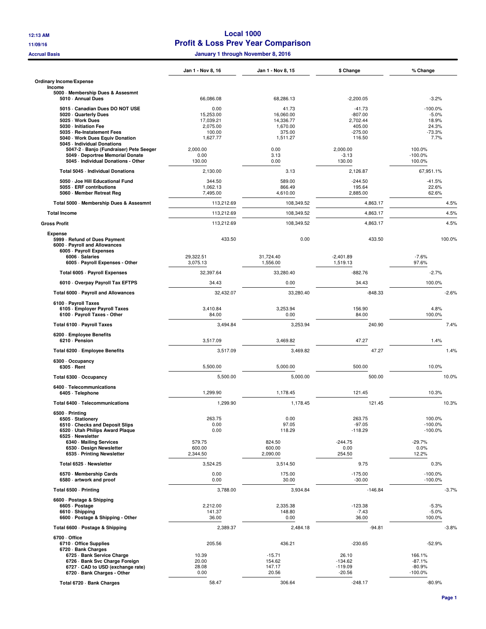#### **12:13 AM Local 1000 11/09/16 Profit & Loss Prev Year Comparison**

**Accrual Basis January 1 through November 8, 2016**

|                                                                                           | Jan 1 - Nov 8, 16              | Jan 1 - Nov 8, 15            | \$ Change                       | % Change                           |
|-------------------------------------------------------------------------------------------|--------------------------------|------------------------------|---------------------------------|------------------------------------|
| <b>Ordinary Income/Expense</b><br>Income                                                  |                                |                              |                                 |                                    |
| 5000 · Membership Dues & Assesmnt<br>5010 · Annual Dues                                   | 66,086.08                      | 68,286.13                    | $-2,200.05$                     | $-3.2%$                            |
| 5015 Canadian Dues DO NOT USE<br>5020 Quarterly Dues                                      | 0.00<br>15,253.00              | 41.73<br>16,060.00           | $-41.73$<br>$-807.00$           | $-100.0%$<br>$-5.0%$               |
| 5025 · Work Dues                                                                          | 17,039.21                      | 14,336.77                    | 2,702.44                        | 18.9%                              |
| 5030 - Initiation Fee                                                                     | 2,075.00                       | 1,670.00                     | 405.00                          | 24.3%                              |
| 5035 · Re-Instatement Fees<br>5040 · Work Dues Equiv Donation                             | 100.00<br>1,627.77             | 375.00<br>1,511.27           | $-275.00$<br>116.50             | $-73.3%$<br>7.7%                   |
| 5045 - Individual Donations<br>5047-2 · Banjo (Fundraiser) Pete Seeger                    | 2,000.00                       | 0.00                         | 2,000.00                        | 100.0%                             |
| 5049 - Deportree Memorial Donate<br>5045 - Individual Donations - Other                   | 0.00<br>130.00                 | 3.13<br>0.00                 | $-3.13$<br>130.00               | $-100.0%$<br>100.0%                |
| Total 5045 - Individual Donations                                                         | 2,130.00                       | 3.13                         | 2.126.87                        | 67,951.1%                          |
| 5050 Joe Hill Educational Fund<br>5055 - ERF contributions<br>5060 Member Retreat Reg     | 344.50<br>1,062.13<br>7,495.00 | 589.00<br>866.49<br>4,610.00 | $-244.50$<br>195.64<br>2,885.00 | $-41.5%$<br>22.6%<br>62.6%         |
| Total 5000 - Membership Dues & Assesmnt                                                   | 113,212.69                     | 108,349.52                   | 4,863.17                        | 4.5%                               |
| <b>Total Income</b>                                                                       | 113,212.69                     | 108,349.52                   | 4,863.17                        | 4.5%                               |
| <b>Gross Profit</b>                                                                       | 113,212.69                     | 108,349.52                   | 4,863.17                        | 4.5%                               |
| <b>Expense</b>                                                                            |                                |                              |                                 |                                    |
| 5999 - Refund of Dues Payment<br>6000 · Payroll and Allowances<br>6005 - Payroll Expenses | 433.50                         | 0.00                         | 433.50                          | 100.0%                             |
| 6006 · Salaries<br>6005 - Payroll Expenses - Other                                        | 29,322.51<br>3,075.13          | 31,724.40<br>1,556.00        | $-2,401.89$<br>1,519.13         | $-7.6%$<br>97.6%                   |
| Total 6005 - Payroll Expenses                                                             | 32,397.64                      | 33,280.40                    | $-882.76$                       | $-2.7%$                            |
| 6010 Overpay Payroll Tax EFTPS                                                            | 34.43                          | 0.00                         | 34.43                           | 100.0%                             |
| Total 6000 - Payroll and Allowances                                                       | 32,432.07                      | 33,280.40                    | $-848.33$                       | $-2.6%$                            |
| 6100 · Payroll Taxes<br>6105 - Employer Payroll Taxes<br>6100 · Payroll Taxes - Other     | 3,410.84<br>84.00              | 3,253.94<br>0.00             | 156.90<br>84.00                 | 4.8%<br>100.0%                     |
| Total 6100 - Payroll Taxes                                                                | 3,494.84                       | 3,253.94                     | 240.90                          | 7.4%                               |
| 6200 · Employee Benefits<br>6210 - Pension                                                | 3,517.09                       | 3,469.82                     | 47.27                           | 1.4%                               |
| Total 6200 - Employee Benefits                                                            | 3,517.09                       | 3,469.82                     | 47.27                           | 1.4%                               |
| 6300 Occupancy<br>6305 · Rent                                                             | 5,500.00                       | 5,000.00                     | 500.00                          | 10.0%                              |
| Total 6300 · Occupancy                                                                    | 5,500.00                       | 5,000.00                     | 500.00                          | 10.0%                              |
| 6400 · Telecommunications<br>6405 · Telephone                                             | 1,299.90                       | 1,178.45                     | 121.45                          | 10.3%                              |
| Total 6400 · Telecommunications                                                           | 1,299.90                       | 1,178.45                     | 121.45                          | 10.3%                              |
| 6500 - Printing                                                                           |                                |                              |                                 |                                    |
| 6505 · Stationery<br>6510 Checks and Deposit Slips<br>6520 · Utah Philips Award Plaque    | 263.75<br>0.00<br>0.00         | 0.00<br>97.05<br>118.29      | 263.75<br>$-97.05$<br>$-118.29$ | 100.0%<br>$-100.0\%$<br>$-100.0\%$ |
| 6525 · Newsletter                                                                         | 579.75                         | 824.50                       | $-244.75$                       | $-29.7%$                           |
| 6340 Mailing Services<br>6530 - Design Newsletter<br>6535 - Printing Newsletter           | 600.00<br>2,344.50             | 600.00<br>2,090.00           | 0.00<br>254.50                  | 0.0%<br>12.2%                      |
| Total 6525 · Newsletter                                                                   | 3,524.25                       | 3,514.50                     | 9.75                            | 0.3%                               |
| 6570 Membership Cards<br>6580 artwork and proof                                           | 0.00<br>0.00                   | 175.00<br>30.00              | $-175.00$<br>$-30.00$           | $-100.0\%$<br>$-100.0%$            |
| Total 6500 · Printing                                                                     | 3,788.00                       | 3,934.84                     | $-146.84$                       | $-3.7%$                            |
| 6600 - Postage & Shipping                                                                 |                                |                              |                                 |                                    |
| 6605 · Postage<br>6610 · Shipping<br>6600 - Postage & Shipping - Other                    | 2,212.00<br>141.37<br>36.00    | 2,335.38<br>148.80<br>0.00   | $-123.38$<br>$-7.43$<br>36.00   | $-5.3%$<br>$-5.0%$<br>100.0%       |
| Total 6600 · Postage & Shipping                                                           | 2,389.37                       | 2,484.18                     | -94.81                          | $-3.8%$                            |
| 6700 Office<br>6710 Office Supplies                                                       | 205.56                         | 436.21                       | $-230.65$                       | $-52.9%$                           |
| 6720 · Bank Charges<br>6725 · Bank Service Charge                                         | 10.39                          | $-15.71$                     | 26.10                           | 166.1%                             |
| 6726 · Bank Svc Charge Foreign                                                            | 20.00                          | 154.62                       | $-134.62$                       | $-87.1%$                           |
| 6727 CAD to USD (exchange rate)<br>6720 · Bank Charges - Other                            | 28.08<br>0.00                  | 147.17<br>20.56              | $-119.09$<br>$-20.56$           | $-80.9%$<br>$-100.0%$              |
| Total 6720 · Bank Charges                                                                 | 58.47                          | 306.64                       | $-248.17$                       | $-80.9%$                           |